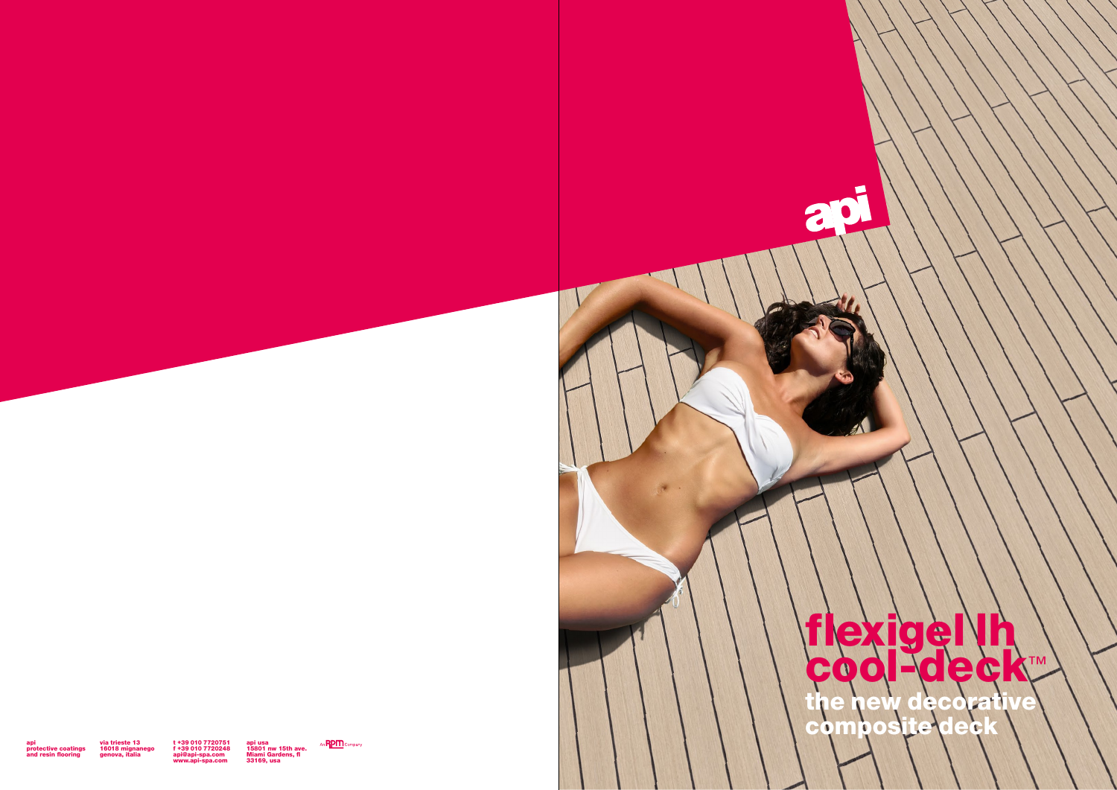

api protective coatings and resin flooring via trieste 13 16018 mignanego genova, italia

t +39 010 7720751 f +39 010 7720248 api@api-spa.com www.api-spa.com api usa 15801 nw 15th ave. Miami Gardens, fl 33169, usa

An **RPM** Company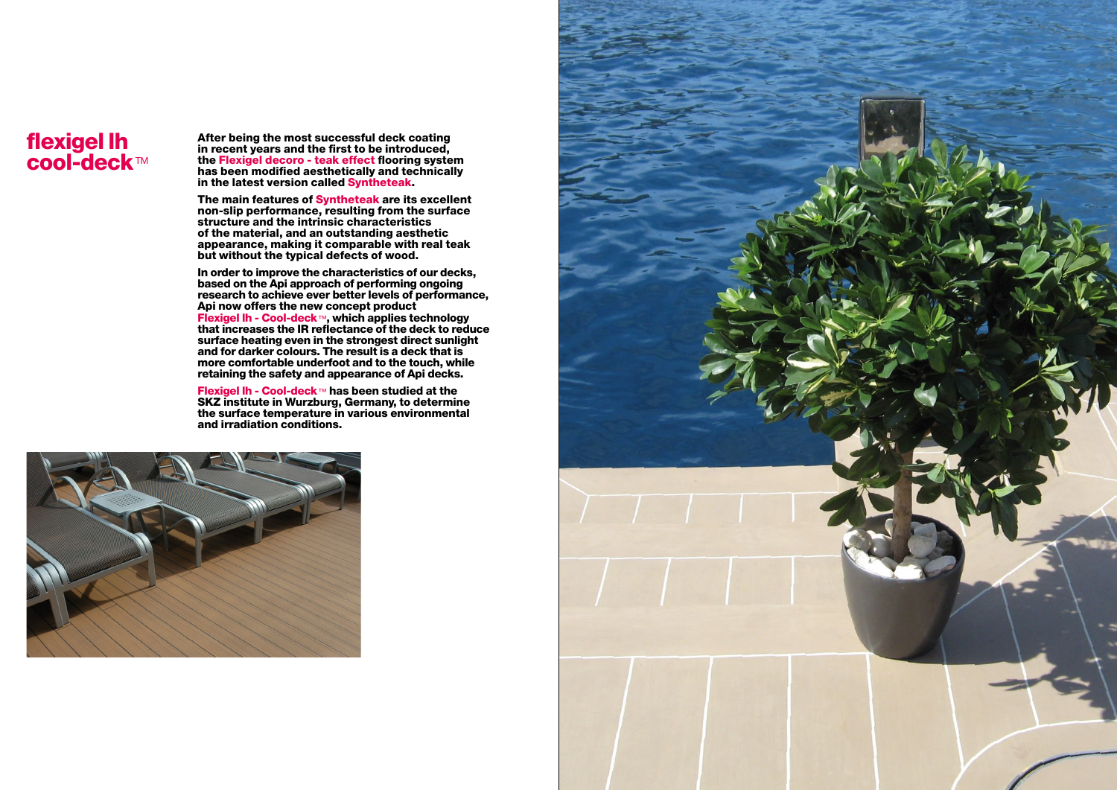## flexigel lh cool-deck™

After being the most successful deck coating in recent years and the first to be introduced, the Flexigel decoro - teak effect flooring system has been modified aesthetically and technically in the latest version called Syntheteak.

The main features of Syntheteak are its excellent non-slip performance, resulting from the surface structure and the intrinsic characteristics of the material, and an outstanding aesthetic appearance, making it comparable with real teak but without the typical defects of wood.

In order to improve the characteristics of our decks, based on the Api approach of performing ongoing research to achieve ever better levels of performance, Api now offers the new concept product Flexigel lh - Cool-deck™, which applies technology that increases the IR reflectance of the deck to reduce surface heating even in the strongest direct sunlight and for darker colours. The result is a deck that is more comfortable underfoot and to the touch, while retaining the safety and appearance of Api decks.

Flexigel lh - Cool-deck™ has been studied at the SKZ institute in Wurzburg, Germany, to determine the surface temperature in various environmental and irradiation conditions.